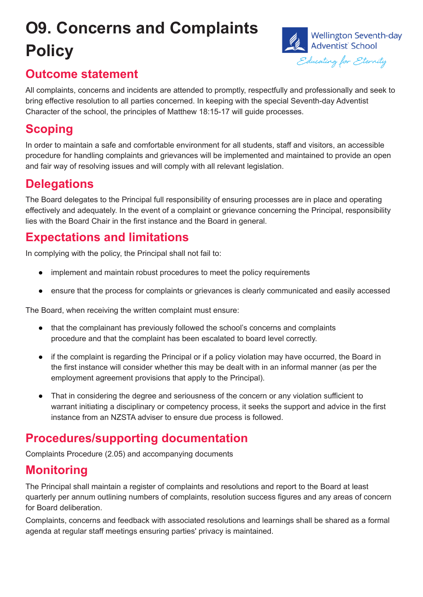# **O9. Concerns and Complaints Policy**



### **Outcome statement**

All complaints, concerns and incidents are attended to promptly, respectfully and professionally and seek to bring effective resolution to all parties concerned. In keeping with the special Seventh-day Adventist Character of the school, the principles of Matthew 18:15-17 will guide processes.

#### **Scoping**

In order to maintain a safe and comfortable environment for all students, staff and visitors, an accessible procedure for handling complaints and grievances will be implemented and maintained to provide an open and fair way of resolving issues and will comply with all relevant legislation.

### **Delegations**

The Board delegates to the Principal full responsibility of ensuring processes are in place and operating effectively and adequately. In the event of a complaint or grievance concerning the Principal, responsibility lies with the Board Chair in the first instance and the Board in general.

# **Expectations and limitations**

In complying with the policy, the Principal shall not fail to:

- implement and maintain robust procedures to meet the policy requirements
- ensure that the process for complaints or grievances is clearly communicated and easily accessed

The Board, when receiving the written complaint must ensure:

- that the complainant has previously followed the school's concerns and complaints procedure and that the complaint has been escalated to board level correctly.
- if the complaint is regarding the Principal or if a policy violation may have occurred, the Board in the first instance will consider whether this may be dealt with in an informal manner (as per the employment agreement provisions that apply to the Principal).
- That in considering the degree and seriousness of the concern or any violation sufficient to warrant initiating a disciplinary or competency process, it seeks the support and advice in the first instance from an NZSTA adviser to ensure due process is followed.

#### **Procedures/supporting documentation**

Complaints Procedure (2.05) and accompanying documents

# **Monitoring**

The Principal shall maintain a register of complaints and resolutions and report to the Board at least quarterly per annum outlining numbers of complaints, resolution success figures and any areas of concern for Board deliberation.

Complaints, concerns and feedback with associated resolutions and learnings shall be shared as a formal agenda at regular staff meetings ensuring parties' privacy is maintained.